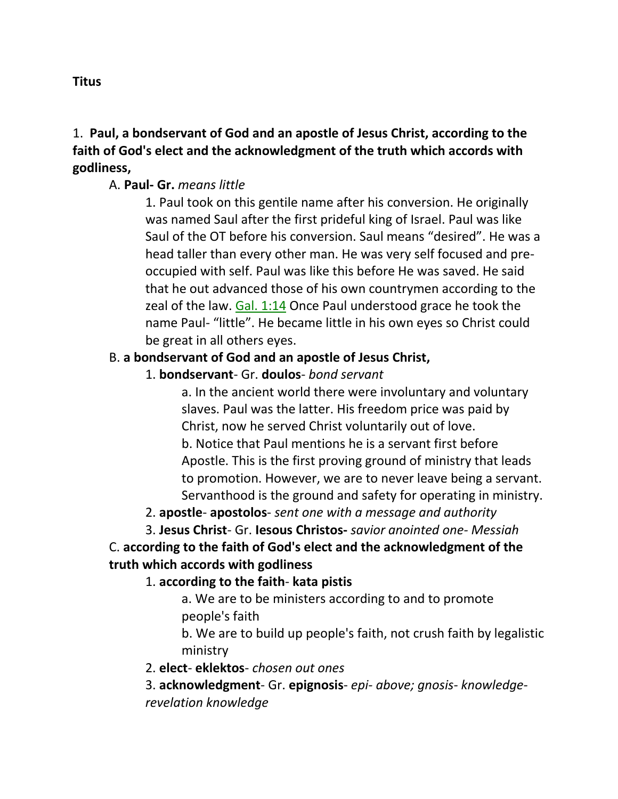## 1. **Paul, a bondservant of God and an apostle of Jesus Christ, according to the faith of God's elect and the acknowledgment of the truth which accords with godliness,**

#### A. **Paul- Gr.** *means little*

1. Paul took on this gentile name after his conversion. He originally was named Saul after the first prideful king of Israel. Paul was like Saul of the OT before his conversion. Saul means "desired". He was a head taller than every other man. He was very self focused and preoccupied with self. Paul was like this before He was saved. He said that he out advanced those of his own countrymen according to the zeal of the law. Gal. 1:14 Once Paul understood grace he took the name Paul- "little". He became little in his own eyes so Christ could be great in all others eyes.

## B. **a bondservant of God and an apostle of Jesus Christ,**

## 1. **bondservant**- Gr. **doulos**- *bond servant*

a. In the ancient world there were involuntary and voluntary slaves. Paul was the latter. His freedom price was paid by Christ, now he served Christ voluntarily out of love. b. Notice that Paul mentions he is a servant first before Apostle. This is the first proving ground of ministry that leads to promotion. However, we are to never leave being a servant. Servanthood is the ground and safety for operating in ministry.

2. **apostle**- **apostolos**- *sent one with a message and authority*

3. **Jesus Christ**- Gr. **Iesous Christos-** *savior anointed one- Messiah*

C. **according to the faith of God's elect and the acknowledgment of the truth which accords with godliness**

1. **according to the faith**- **kata pistis**

a. We are to be ministers according to and to promote people's faith

b. We are to build up people's faith, not crush faith by legalistic ministry

2. **elect**- **eklektos**- *chosen out ones*

3. **acknowledgment**- Gr. **epignosis**- *epi- above; gnosis- knowledgerevelation knowledge*

#### **Titus**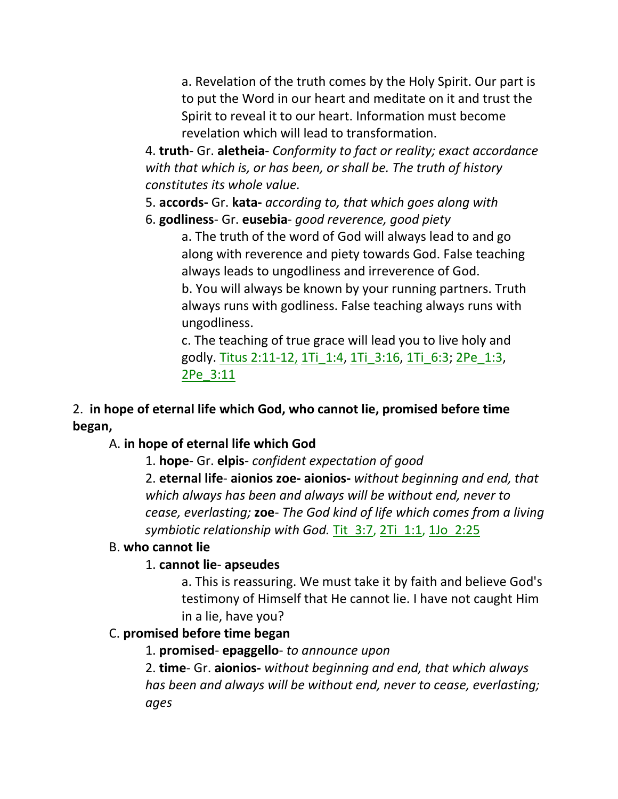a. Revelation of the truth comes by the Holy Spirit. Our part is to put the Word in our heart and meditate on it and trust the Spirit to reveal it to our heart. Information must become revelation which will lead to transformation.

4. **truth**- Gr. **aletheia**- *Conformity to fact or reality; exact accordance with that which is, or has been, or shall be. The truth of history constitutes its whole value.*

5. **accords-** Gr. **kata-** *according to, that which goes along with*

6. **godliness**- Gr. **eusebia**- *good reverence, good piety*

a. The truth of the word of God will always lead to and go along with reverence and piety towards God. False teaching always leads to ungodliness and irreverence of God. b. You will always be known by your running partners. Truth

always runs with godliness. False teaching always runs with ungodliness.

c. The teaching of true grace will lead you to live holy and godly. Titus 2:11-12, 1Ti\_1:4, 1Ti\_3:16, 1Ti\_6:3; 2Pe\_1:3, 2Pe\_3:11

# 2. **in hope of eternal life which God, who cannot lie, promised before time began,**

## A. **in hope of eternal life which God**

1. **hope**- Gr. **elpis**- *confident expectation of good*

2. **eternal life**- **aionios zoe- aionios-** *without beginning and end, that which always has been and always will be without end, never to cease, everlasting;* **zoe**- *The God kind of life which comes from a living symbiotic relationship with God.* Tit\_3:7, 2Ti\_1:1, 1Jo\_2:25

## B. **who cannot lie**

## 1. **cannot lie**- **apseudes**

a. This is reassuring. We must take it by faith and believe God's testimony of Himself that He cannot lie. I have not caught Him in a lie, have you?

## C. **promised before time began**

1. **promised**- **epaggello**- *to announce upon*

2. **time**- Gr. **aionios-** *without beginning and end, that which always has been and always will be without end, never to cease, everlasting; ages*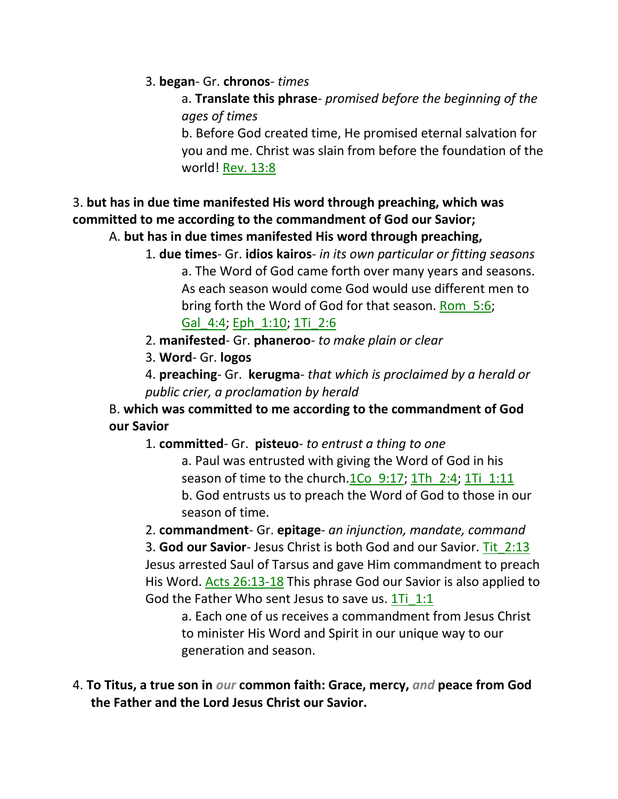#### 3. **began**- Gr. **chronos**- *times*

a. **Translate this phrase**- *promised before the beginning of the ages of times*

b. Before God created time, He promised eternal salvation for you and me. Christ was slain from before the foundation of the world! Rev. 13:8

# 3. **but has in due time manifested His word through preaching, which was committed to me according to the commandment of God our Savior;**

#### A. **but has in due times manifested His word through preaching,**

1. **due times**- Gr. **idios kairos**- *in its own particular or fitting seasons*

a. The Word of God came forth over many years and seasons. As each season would come God would use different men to bring forth the Word of God for that season. Rom\_5:6; Gal\_4:4; Eph\_1:10; 1Ti\_2:6

2. **manifested**- Gr. **phaneroo**- *to make plain or clear*

3. **Word**- Gr. **logos**

4. **preaching**- Gr. **kerugma**- *that which is proclaimed by a herald or public crier, a proclamation by herald*

B. **which was committed to me according to the commandment of God our Savior**

1. **committed**- Gr. **pisteuo**- *to entrust a thing to one*

a. Paul was entrusted with giving the Word of God in his season of time to the church.1Co 9:17; 1Th 2:4; 1Ti 1:11 b. God entrusts us to preach the Word of God to those in our season of time.

2. **commandment**- Gr. **epitage**- *an injunction, mandate, command* 3. **God our Savior**- Jesus Christ is both God and our Savior. Tit\_2:13 Jesus arrested Saul of Tarsus and gave Him commandment to preach His Word. Acts 26:13-18 This phrase God our Savior is also applied to God the Father Who sent Jesus to save us. 1Ti 1:1

a. Each one of us receives a commandment from Jesus Christ to minister His Word and Spirit in our unique way to our generation and season.

4. **To Titus, a true son in** *our* **common faith: Grace, mercy,** *and* **peace from God the Father and the Lord Jesus Christ our Savior.**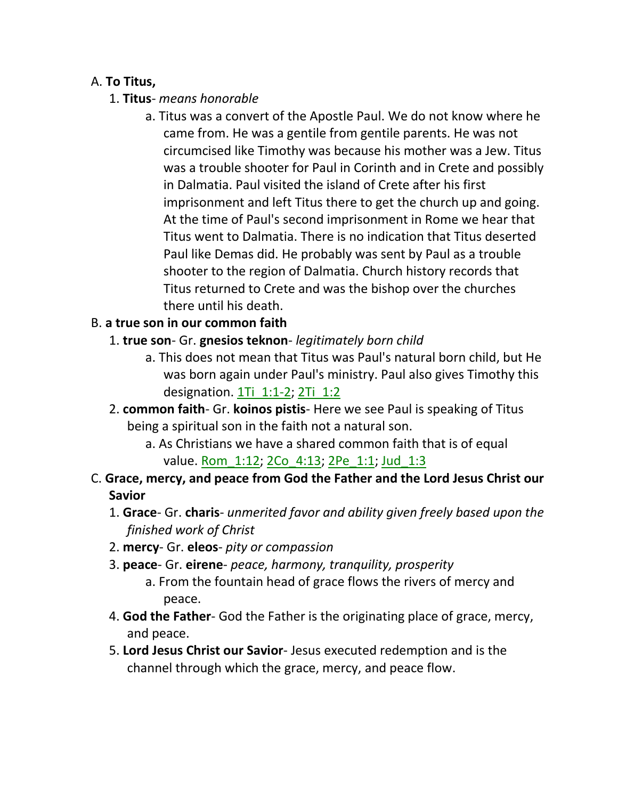#### A. **To Titus,**

- 1. **Titus** *means honorable*
	- a. Titus was a convert of the Apostle Paul. We do not know where he came from. He was a gentile from gentile parents. He was not circumcised like Timothy was because his mother was a Jew. Titus was a trouble shooter for Paul in Corinth and in Crete and possibly in Dalmatia. Paul visited the island of Crete after his first imprisonment and left Titus there to get the church up and going. At the time of Paul's second imprisonment in Rome we hear that Titus went to Dalmatia. There is no indication that Titus deserted Paul like Demas did. He probably was sent by Paul as a trouble shooter to the region of Dalmatia. Church history records that Titus returned to Crete and was the bishop over the churches there until his death.

#### B. **a true son in our common faith**

- 1. **true son** Gr. **gnesios teknon** *legitimately born child*
	- a. This does not mean that Titus was Paul's natural born child, but He was born again under Paul's ministry. Paul also gives Timothy this designation. 1Ti\_1:1-2; 2Ti\_1:2
- 2. **common faith** Gr. **koinos pistis** Here we see Paul is speaking of Titus being a spiritual son in the faith not a natural son.
	- a. As Christians we have a shared common faith that is of equal value. Rom 1:12; 2Co 4:13; 2Pe 1:1; Jud 1:3
- C. **Grace, mercy, and peace from God the Father and the Lord Jesus Christ our Savior** 
	- 1. **Grace** Gr. **charis** *unmerited favor and ability given freely based upon the finished work of Christ*
	- 2. **mercy** Gr. **eleos** *pity or compassion*
	- 3. **peace** Gr. **eirene** *peace, harmony, tranquility, prosperity*
		- a. From the fountain head of grace flows the rivers of mercy and peace.
	- 4. **God the Father** God the Father is the originating place of grace, mercy, and peace.
	- 5. **Lord Jesus Christ our Savior** Jesus executed redemption and is the channel through which the grace, mercy, and peace flow.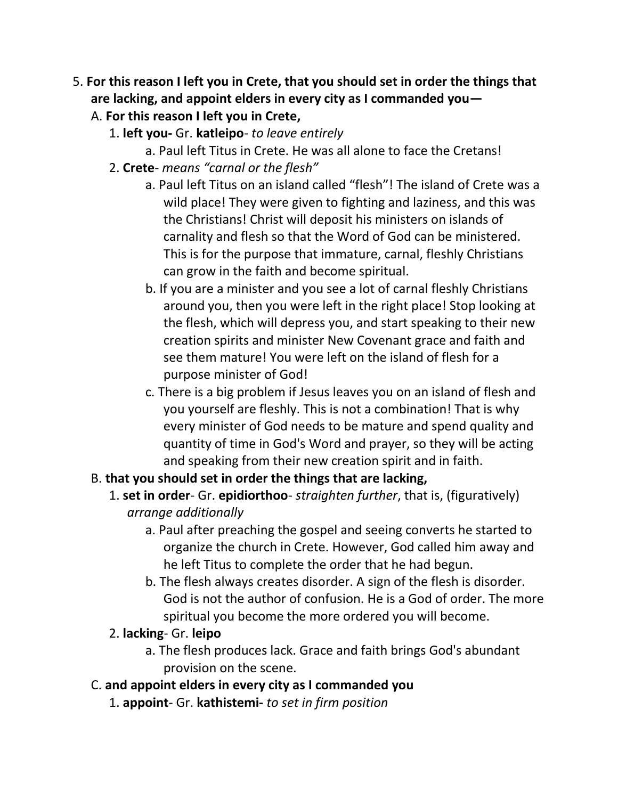- 5. **For this reason I left you in Crete, that you should set in order the things that are lacking, and appoint elders in every city as I commanded you—**
	- A. **For this reason I left you in Crete,**
		- 1. **left you-** Gr. **katleipo** *to leave entirely*
			- a. Paul left Titus in Crete. He was all alone to face the Cretans!
		- 2. **Crete** *means "carnal or the flesh"*
			- a. Paul left Titus on an island called "flesh"! The island of Crete was a wild place! They were given to fighting and laziness, and this was the Christians! Christ will deposit his ministers on islands of carnality and flesh so that the Word of God can be ministered. This is for the purpose that immature, carnal, fleshly Christians can grow in the faith and become spiritual.
			- b. If you are a minister and you see a lot of carnal fleshly Christians around you, then you were left in the right place! Stop looking at the flesh, which will depress you, and start speaking to their new creation spirits and minister New Covenant grace and faith and see them mature! You were left on the island of flesh for a purpose minister of God!
			- c. There is a big problem if Jesus leaves you on an island of flesh and you yourself are fleshly. This is not a combination! That is why every minister of God needs to be mature and spend quality and quantity of time in God's Word and prayer, so they will be acting and speaking from their new creation spirit and in faith.
	- B. **that you should set in order the things that are lacking,**
		- 1. **set in order** Gr. **epidiorthoo** *straighten further*, that is, (figuratively) *arrange additionally*
			- a. Paul after preaching the gospel and seeing converts he started to organize the church in Crete. However, God called him away and he left Titus to complete the order that he had begun.
			- b. The flesh always creates disorder. A sign of the flesh is disorder. God is not the author of confusion. He is a God of order. The more spiritual you become the more ordered you will become.
		- 2. **lacking** Gr. **leipo**
			- a. The flesh produces lack. Grace and faith brings God's abundant provision on the scene.
	- C. **and appoint elders in every city as I commanded you**
		- 1. **appoint** Gr. **kathistemi-** *to set in firm position*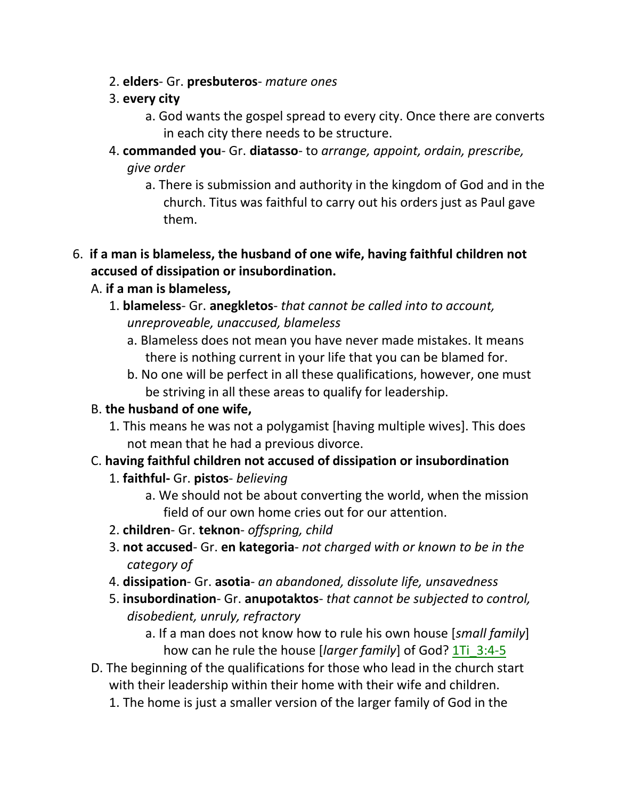- 2. **elders** Gr. **presbuteros** *mature ones*
- 3. **every city**
	- a. God wants the gospel spread to every city. Once there are converts in each city there needs to be structure.
- 4. **commanded you** Gr. **diatasso** to *arrange, appoint, ordain, prescribe, give order*
	- a. There is submission and authority in the kingdom of God and in the church. Titus was faithful to carry out his orders just as Paul gave them.
- 6. **if a man is blameless, the husband of one wife, having faithful children not accused of dissipation or insubordination.**

## A. **if a man is blameless,**

- 1. **blameless** Gr. **anegkletos** *that cannot be called into to account, unreproveable, unaccused, blameless*
	- a. Blameless does not mean you have never made mistakes. It means there is nothing current in your life that you can be blamed for.
	- b. No one will be perfect in all these qualifications, however, one must be striving in all these areas to qualify for leadership.

# B. **the husband of one wife,**

- 1. This means he was not a polygamist [having multiple wives]. This does not mean that he had a previous divorce.
- C. **having faithful children not accused of dissipation or insubordination**
	- 1. **faithful-** Gr. **pistos** *believing*
		- a. We should not be about converting the world, when the mission field of our own home cries out for our attention.
	- 2. **children** Gr. **teknon** *offspring, child*
	- 3. **not accused** Gr. **en kategoria** *not charged with or known to be in the category of*
	- 4. **dissipation** Gr. **asotia** *an abandoned, dissolute life, unsavedness*
	- 5. **insubordination** Gr. **anupotaktos** *that cannot be subjected to control, disobedient, unruly, refractory*
		- a. If a man does not know how to rule his own house [*small family*] how can he rule the house [*larger family*] of God? 1Ti\_3:4-5
- D. The beginning of the qualifications for those who lead in the church start with their leadership within their home with their wife and children.
	- 1. The home is just a smaller version of the larger family of God in the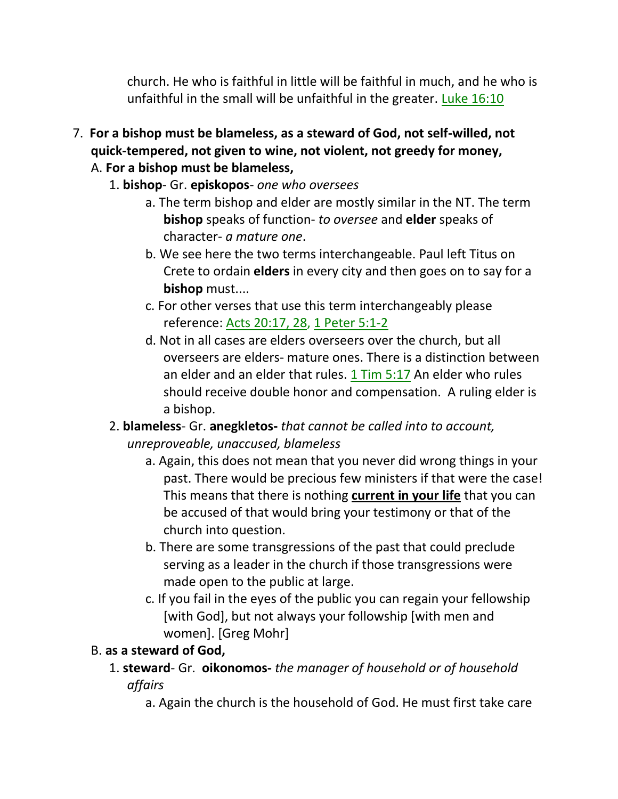church. He who is faithful in little will be faithful in much, and he who is unfaithful in the small will be unfaithful in the greater. Luke  $16:10$ 

- 7. **For a bishop must be blameless, as a steward of God, not self-willed, not quick-tempered, not given to wine, not violent, not greedy for money,**
	- A. **For a bishop must be blameless,**
		- 1. **bishop** Gr. **episkopos** *one who oversees*
			- a. The term bishop and elder are mostly similar in the NT. The term **bishop** speaks of function- *to oversee* and **elder** speaks of character- *a mature one*.
			- b. We see here the two terms interchangeable. Paul left Titus on Crete to ordain **elders** in every city and then goes on to say for a **bishop** must....
			- c. For other verses that use this term interchangeably please reference: Acts 20:17, 28, 1 Peter 5:1-2
			- d. Not in all cases are elders overseers over the church, but all overseers are elders- mature ones. There is a distinction between an elder and an elder that rules. 1 Tim 5:17 An elder who rules should receive double honor and compensation. A ruling elder is a bishop.
		- 2. **blameless** Gr. **anegkletos-** *that cannot be called into to account, unreproveable, unaccused, blameless*
			- a. Again, this does not mean that you never did wrong things in your past. There would be precious few ministers if that were the case! This means that there is nothing **current in your life** that you can be accused of that would bring your testimony or that of the church into question.
			- b. There are some transgressions of the past that could preclude serving as a leader in the church if those transgressions were made open to the public at large.
			- c. If you fail in the eyes of the public you can regain your fellowship [with God], but not always your followship [with men and women]. [Greg Mohr]

# B. **as a steward of God,**

- 1. **steward** Gr. **oikonomos-** *the manager of household or of household affairs*
	- a. Again the church is the household of God. He must first take care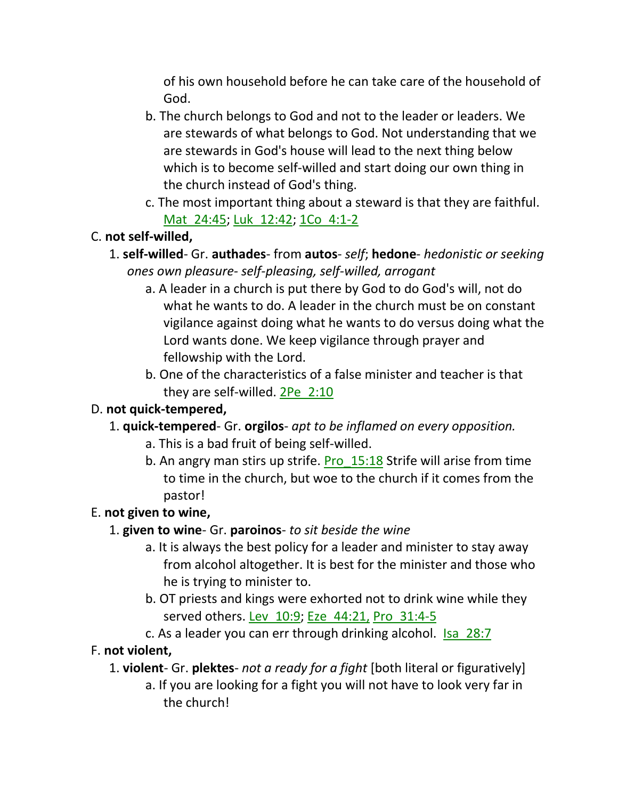of his own household before he can take care of the household of God.

- b. The church belongs to God and not to the leader or leaders. We are stewards of what belongs to God. Not understanding that we are stewards in God's house will lead to the next thing below which is to become self-willed and start doing our own thing in the church instead of God's thing.
- c. The most important thing about a steward is that they are faithful. Mat 24:45; Luk 12:42; 1Co 4:1-2

## C. **not self-willed,**

- 1. **self-willed** Gr. **authades** from **autos** *self*; **hedone** *hedonistic or seeking ones own pleasure- self-pleasing, self-willed, arrogant*
	- a. A leader in a church is put there by God to do God's will, not do what he wants to do. A leader in the church must be on constant vigilance against doing what he wants to do versus doing what the Lord wants done. We keep vigilance through prayer and fellowship with the Lord.
	- b. One of the characteristics of a false minister and teacher is that they are self-willed. 2Pe\_2:10

## D. **not quick-tempered,**

- 1. **quick-tempered** Gr. **orgilos** *apt to be inflamed on every opposition.*
	- a. This is a bad fruit of being self-willed.
	- b. An angry man stirs up strife. Pro  $15:18$  Strife will arise from time to time in the church, but woe to the church if it comes from the pastor!

# E. **not given to wine,**

- 1. **given to wine** Gr. **paroinos** *to sit beside the wine*
	- a. It is always the best policy for a leader and minister to stay away from alcohol altogether. It is best for the minister and those who he is trying to minister to.
	- b. OT priests and kings were exhorted not to drink wine while they served others. Lev 10:9; Eze 44:21, Pro 31:4-5
	- c. As a leader you can err through drinking alcohol. Isa\_28:7

## F. **not violent,**

- 1. **violent** Gr. **plektes** *not a ready for a fight* [both literal or figuratively]
	- a. If you are looking for a fight you will not have to look very far in the church!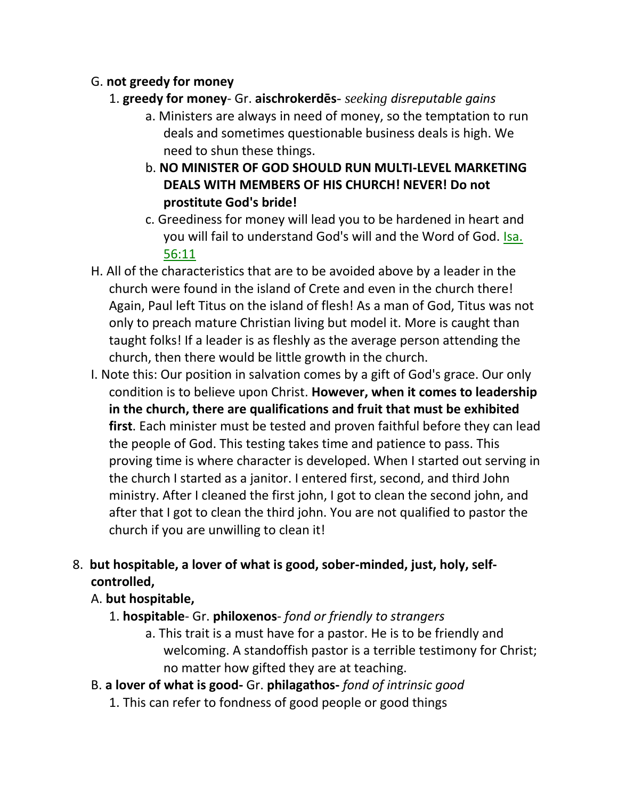## G. **not greedy for money**

- 1. **greedy for money** Gr. **s** *seeking disreputable gains*
	- a. Ministers are always in need of money, so the temptation to run deals and sometimes questionable business deals is high. We need to shun these things.
	- b. **NO MINISTER OF GOD SHOULD RUN MULTI-LEVEL MARKETING DEALS WITH MEMBERS OF HIS CHURCH! NEVER! Do not prostitute God's bride!**
	- c. Greediness for money will lead you to be hardened in heart and you will fail to understand God's will and the Word of God. Isa. 56:11
- H. All of the characteristics that are to be avoided above by a leader in the church were found in the island of Crete and even in the church there! Again, Paul left Titus on the island of flesh! As a man of God, Titus was not only to preach mature Christian living but model it. More is caught than taught folks! If a leader is as fleshly as the average person attending the church, then there would be little growth in the church.
- I. Note this: Our position in salvation comes by a gift of God's grace. Our only condition is to believe upon Christ. **However, when it comes to leadership in the church, there are qualifications and fruit that must be exhibited first**. Each minister must be tested and proven faithful before they can lead the people of God. This testing takes time and patience to pass. This proving time is where character is developed. When I started out serving in the church I started as a janitor. I entered first, second, and third John ministry. After I cleaned the first john, I got to clean the second john, and after that I got to clean the third john. You are not qualified to pastor the church if you are unwilling to clean it!

# 8. **but hospitable, a lover of what is good, sober-minded, just, holy, selfcontrolled,**

# A. **but hospitable,**

- 1. **hospitable** Gr. **philoxenos** *fond or friendly to strangers*
	- a. This trait is a must have for a pastor. He is to be friendly and welcoming. A standoffish pastor is a terrible testimony for Christ; no matter how gifted they are at teaching.
- B. **a lover of what is good-** Gr. **philagathos-** *fond of intrinsic good*
	- 1. This can refer to fondness of good people or good things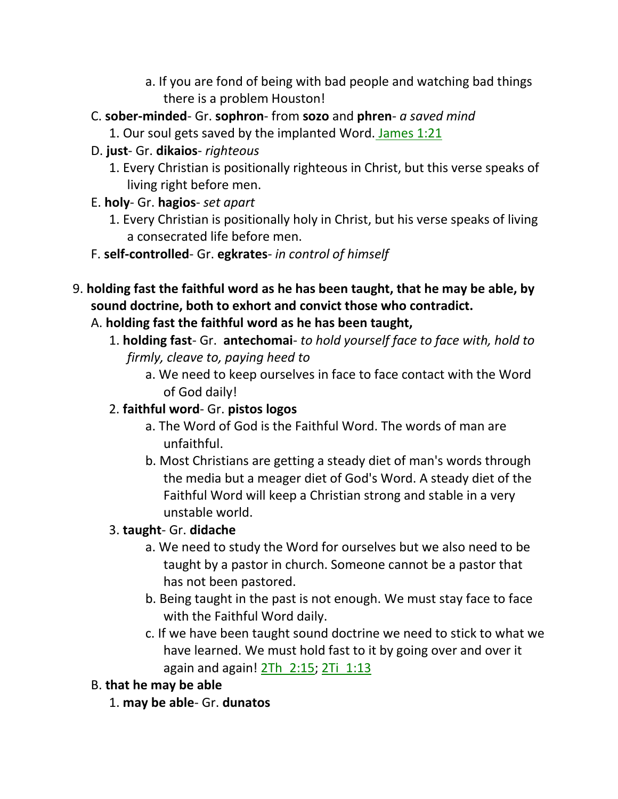- a. If you are fond of being with bad people and watching bad things there is a problem Houston!
- C. **sober-minded** Gr. **sophron** from **sozo** and **phren** *a saved mind*
	- 1. Our soul gets saved by the implanted Word. James 1:21
- D. **just** Gr. **dikaios** *righteous*
	- 1. Every Christian is positionally righteous in Christ, but this verse speaks of living right before men.
- E. **holy** Gr. **hagios** *set apart*
	- 1. Every Christian is positionally holy in Christ, but his verse speaks of living a consecrated life before men.
- F. **self-controlled** Gr. **egkrates** *in control of himself*
- 9. **holding fast the faithful word as he has been taught, that he may be able, by sound doctrine, both to exhort and convict those who contradict.**

# A. **holding fast the faithful word as he has been taught,**

- 1. **holding fast** Gr. **antechomai** *to hold yourself face to face with, hold to firmly, cleave to, paying heed to*
	- a. We need to keep ourselves in face to face contact with the Word of God daily!

# 2. **faithful word**- Gr. **pistos logos**

- a. The Word of God is the Faithful Word. The words of man are unfaithful.
- b. Most Christians are getting a steady diet of man's words through the media but a meager diet of God's Word. A steady diet of the Faithful Word will keep a Christian strong and stable in a very unstable world.

# 3. **taught**- Gr. **didache**

- a. We need to study the Word for ourselves but we also need to be taught by a pastor in church. Someone cannot be a pastor that has not been pastored.
- b. Being taught in the past is not enough. We must stay face to face with the Faithful Word daily.
- c. If we have been taught sound doctrine we need to stick to what we have learned. We must hold fast to it by going over and over it again and again!  $2Th$   $2:15$ ;  $2Ti$   $1:13$

# B. **that he may be able**

1. **may be able**- Gr. **dunatos**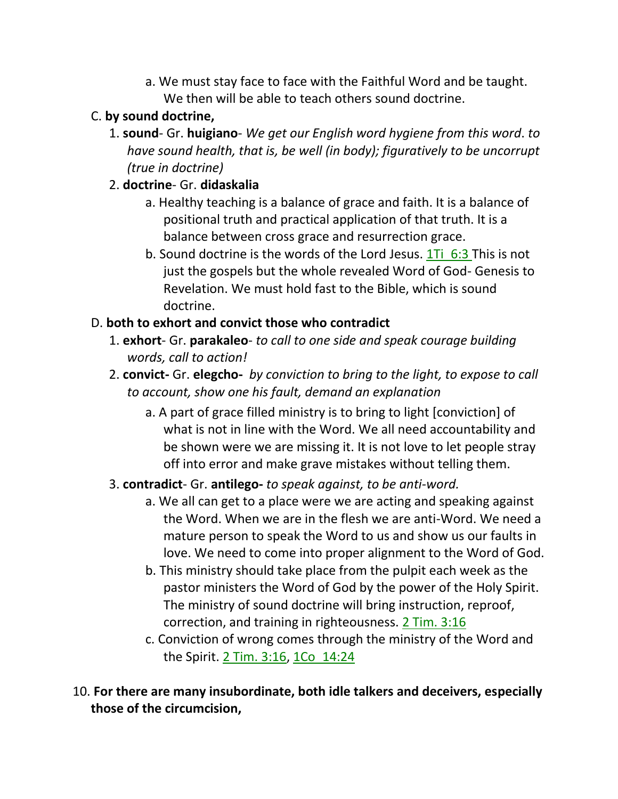a. We must stay face to face with the Faithful Word and be taught. We then will be able to teach others sound doctrine.

## C. **by sound doctrine,**

1. **sound**- Gr. **huigiano**- *We get our English word hygiene from this word*. *to have sound health, that is, be well (in body); figuratively to be uncorrupt (true in doctrine)*

## 2. **doctrine**- Gr. **didaskalia**

- a. Healthy teaching is a balance of grace and faith. It is a balance of positional truth and practical application of that truth. It is a balance between cross grace and resurrection grace.
- b. Sound doctrine is the words of the Lord Jesus.  $1\overline{1}i$  6:3 This is not just the gospels but the whole revealed Word of God- Genesis to Revelation. We must hold fast to the Bible, which is sound doctrine.

# D. **both to exhort and convict those who contradict**

- 1. **exhort** Gr. **parakaleo** *to call to one side and speak courage building words, call to action!*
- 2. **convict-** Gr. **elegcho-** *by conviction to bring to the light, to expose to call to account, show one his fault, demand an explanation*
	- a. A part of grace filled ministry is to bring to light [conviction] of what is not in line with the Word. We all need accountability and be shown were we are missing it. It is not love to let people stray off into error and make grave mistakes without telling them.

# 3. **contradict**- Gr. **antilego-** *to speak against, to be anti-word.*

- a. We all can get to a place were we are acting and speaking against the Word. When we are in the flesh we are anti-Word. We need a mature person to speak the Word to us and show us our faults in love. We need to come into proper alignment to the Word of God.
- b. This ministry should take place from the pulpit each week as the pastor ministers the Word of God by the power of the Holy Spirit. The ministry of sound doctrine will bring instruction, reproof, correction, and training in righteousness. 2 Tim. 3:16
- c. Conviction of wrong comes through the ministry of the Word and the Spirit. 2 Tim. 3:16, 1Co\_14:24

10. **For there are many insubordinate, both idle talkers and deceivers, especially those of the circumcision,**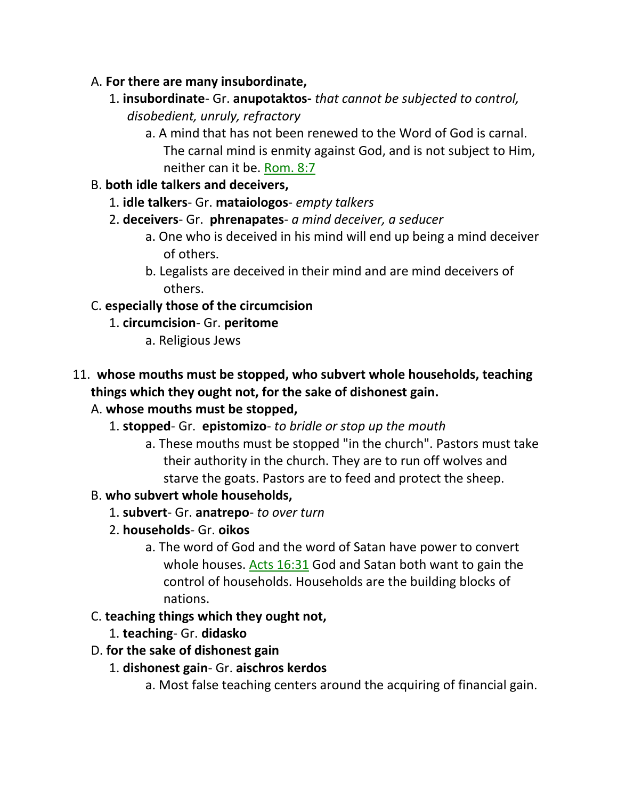- A. **For there are many insubordinate,** 
	- 1. **insubordinate** Gr. **anupotaktos-** *that cannot be subjected to control, disobedient, unruly, refractory*
		- a. A mind that has not been renewed to the Word of God is carnal. The carnal mind is enmity against God, and is not subject to Him, neither can it be. Rom. 8:7
- B. **both idle talkers and deceivers,**
	- 1. **idle talkers** Gr. **mataiologos** *empty talkers*
	- 2. **deceivers** Gr. **phrenapates** *a mind deceiver, a seducer*
		- a. One who is deceived in his mind will end up being a mind deceiver of others.
		- b. Legalists are deceived in their mind and are mind deceivers of others.

# C. **especially those of the circumcision**

- 1. **circumcision** Gr. **peritome**
	- a. Religious Jews
- 11. **whose mouths must be stopped, who subvert whole households, teaching things which they ought not, for the sake of dishonest gain.**

# A. **whose mouths must be stopped,**

- 1. **stopped** Gr. **epistomizo** *to bridle or stop up the mouth*
	- a. These mouths must be stopped "in the church". Pastors must take their authority in the church. They are to run off wolves and starve the goats. Pastors are to feed and protect the sheep.

# B. **who subvert whole households,**

- 1. **subvert** Gr. **anatrepo** *to over turn*
- 2. **households** Gr. **oikos**
	- a. The word of God and the word of Satan have power to convert whole houses. Acts 16:31 God and Satan both want to gain the control of households. Households are the building blocks of nations.

# C. **teaching things which they ought not,**

- 1. **teaching** Gr. **didasko**
- D. **for the sake of dishonest gain**
	- 1. **dishonest gain** Gr. **aischros kerdos**
		- a. Most false teaching centers around the acquiring of financial gain.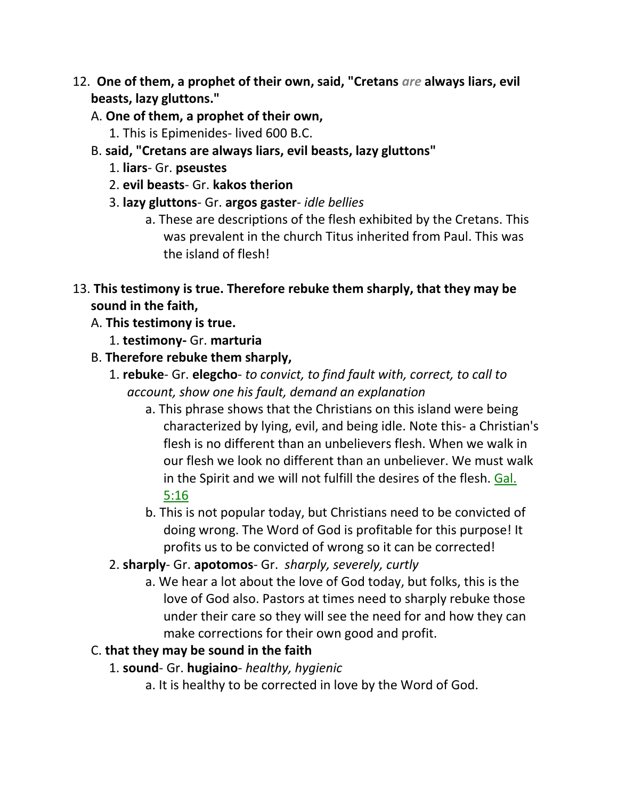- 12. **One of them, a prophet of their own, said, "Cretans** *are* **always liars, evil beasts, lazy gluttons."** 
	- A. **One of them, a prophet of their own,**
		- 1. This is Epimenides- lived 600 B.C.
	- B. **said, "Cretans are always liars, evil beasts, lazy gluttons"**
		- 1. **liars** Gr. **pseustes**
		- 2. **evil beasts** Gr. **kakos therion**
		- 3. **lazy gluttons** Gr. **argos gaster** *idle bellies*
			- a. These are descriptions of the flesh exhibited by the Cretans. This was prevalent in the church Titus inherited from Paul. This was the island of flesh!
- 13. **This testimony is true. Therefore rebuke them sharply, that they may be sound in the faith,** 
	- A. **This testimony is true.**
		- 1. **testimony-** Gr. **marturia**
	- B. **Therefore rebuke them sharply,**
		- 1. **rebuke** Gr. **elegcho** *to convict, to find fault with, correct, to call to account, show one his fault, demand an explanation*
			- a. This phrase shows that the Christians on this island were being characterized by lying, evil, and being idle. Note this- a Christian's flesh is no different than an unbelievers flesh. When we walk in our flesh we look no different than an unbeliever. We must walk in the Spirit and we will not fulfill the desires of the flesh. Gal. 5:16
			- b. This is not popular today, but Christians need to be convicted of doing wrong. The Word of God is profitable for this purpose! It profits us to be convicted of wrong so it can be corrected!
		- 2. **sharply** Gr. **apotomos** Gr. *sharply, severely, curtly*
			- a. We hear a lot about the love of God today, but folks, this is the love of God also. Pastors at times need to sharply rebuke those under their care so they will see the need for and how they can make corrections for their own good and profit.

## C. **that they may be sound in the faith**

- 1. **sound** Gr. **hugiaino** *healthy, hygienic*
	- a. It is healthy to be corrected in love by the Word of God.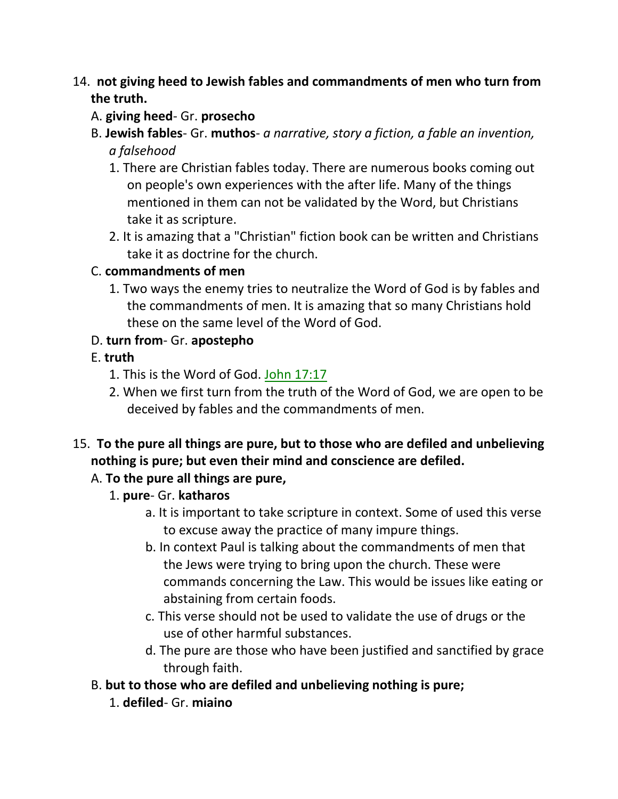## 14. **not giving heed to Jewish fables and commandments of men who turn from the truth.**

## A. **giving heed**- Gr. **prosecho**

- B. **Jewish fables** Gr. **muthos** *a narrative, story a fiction, a fable an invention, a falsehood*
	- 1. There are Christian fables today. There are numerous books coming out on people's own experiences with the after life. Many of the things mentioned in them can not be validated by the Word, but Christians take it as scripture.
	- 2. It is amazing that a "Christian" fiction book can be written and Christians take it as doctrine for the church.

## C. **commandments of men**

1. Two ways the enemy tries to neutralize the Word of God is by fables and the commandments of men. It is amazing that so many Christians hold these on the same level of the Word of God.

## D. **turn from**- Gr. **apostepho**

## E. **truth**

- 1. This is the Word of God. John 17:17
- 2. When we first turn from the truth of the Word of God, we are open to be deceived by fables and the commandments of men.
- 15. **To the pure all things are pure, but to those who are defiled and unbelieving nothing is pure; but even their mind and conscience are defiled.**

# A. **To the pure all things are pure,**

- 1. **pure** Gr. **katharos**
	- a. It is important to take scripture in context. Some of used this verse to excuse away the practice of many impure things.
	- b. In context Paul is talking about the commandments of men that the Jews were trying to bring upon the church. These were commands concerning the Law. This would be issues like eating or abstaining from certain foods.
	- c. This verse should not be used to validate the use of drugs or the use of other harmful substances.
	- d. The pure are those who have been justified and sanctified by grace through faith.
- B. **but to those who are defiled and unbelieving nothing is pure;**
	- 1. **defiled** Gr. **miaino**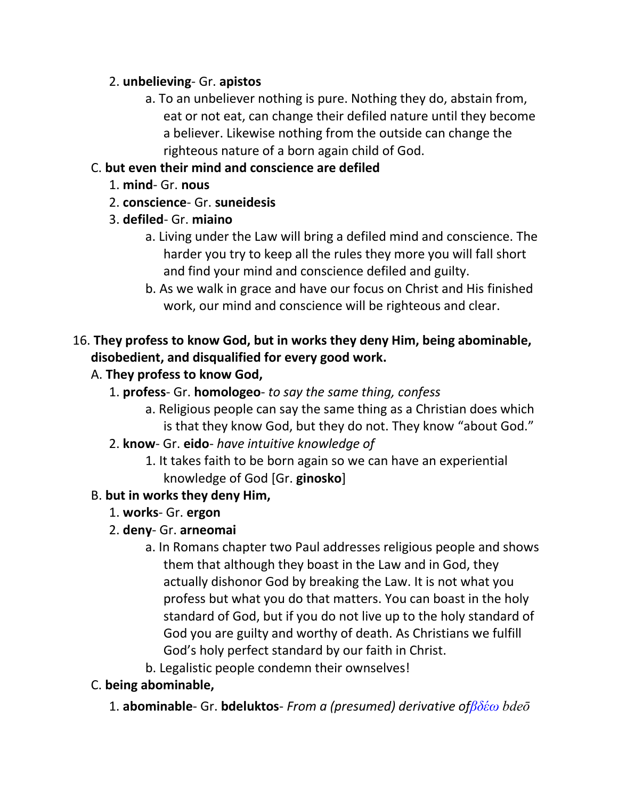## 2. **unbelieving**- Gr. **apistos**

a. To an unbeliever nothing is pure. Nothing they do, abstain from, eat or not eat, can change their defiled nature until they become a believer. Likewise nothing from the outside can change the righteous nature of a born again child of God.

# C. **but even their mind and conscience are defiled**

- 1. **mind** Gr. **nous**
- 2. **conscience** Gr. **suneidesis**
- 3. **defiled** Gr. **miaino**
	- a. Living under the Law will bring a defiled mind and conscience. The harder you try to keep all the rules they more you will fall short and find your mind and conscience defiled and guilty.
	- b. As we walk in grace and have our focus on Christ and His finished work, our mind and conscience will be righteous and clear.

# 16. **They profess to know God, but in works they deny Him, being abominable, disobedient, and disqualified for every good work.**

# A. **They profess to know God,**

- 1. **profess** Gr. **homologeo** *to say the same thing, confess*
	- a. Religious people can say the same thing as a Christian does which is that they know God, but they do not. They know "about God."
- 2. **know** Gr. **eido** *have intuitive knowledge of*
	- 1. It takes faith to be born again so we can have an experiential knowledge of God [Gr. **ginosko**]

# B. **but in works they deny Him,**

- 1. **works** Gr. **ergon**
- 2. **deny** Gr. **arneomai**
	- a. In Romans chapter two Paul addresses religious people and shows them that although they boast in the Law and in God, they actually dishonor God by breaking the Law. It is not what you profess but what you do that matters. You can boast in the holy standard of God, but if you do not live up to the holy standard of God you are guilty and worthy of death. As Christians we fulfill God's holy perfect standard by our faith in Christ.
	- b. Legalistic people condemn their ownselves!

# C. **being abominable,**

1. **abominable**- Gr. **bdeluktos**- *From a (presumed) derivative of* $\beta \delta \acute{\epsilon} \omega$  *bdeo*